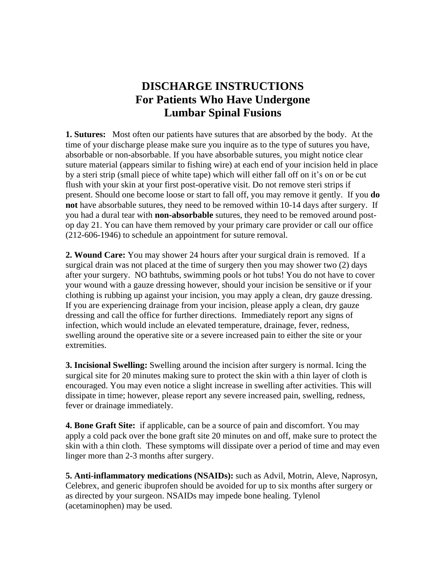## **DISCHARGE INSTRUCTIONS For Patients Who Have Undergone Lumbar Spinal Fusions**

**1. Sutures:** Most often our patients have sutures that are absorbed by the body. At the time of your discharge please make sure you inquire as to the type of sutures you have, absorbable or non-absorbable. If you have absorbable sutures, you might notice clear suture material (appears similar to fishing wire) at each end of your incision held in place by a steri strip (small piece of white tape) which will either fall off on it's on or be cut flush with your skin at your first post-operative visit. Do not remove steri strips if present. Should one become loose or start to fall off, you may remove it gently.If you **do not** have absorbable sutures, they need to be removed within 10-14 days after surgery. If you had a dural tear with **non-absorbable** sutures, they need to be removed around postop day 21. You can have them removed by your primary care provider or call our office (212-606-1946) to schedule an appointment for suture removal.

**2. Wound Care:** You may shower 24 hours after your surgical drain is removed. If a surgical drain was not placed at the time of surgery then you may shower two (2) days after your surgery. NO bathtubs, swimming pools or hot tubs! You do not have to cover your wound with a gauze dressing however, should your incision be sensitive or if your clothing is rubbing up against your incision, you may apply a clean, dry gauze dressing. If you are experiencing drainage from your incision, please apply a clean, dry gauze dressing and call the office for further directions. Immediately report any signs of infection, which would include an elevated temperature, drainage, fever, redness, swelling around the operative site or a severe increased pain to either the site or your extremities.

**3. Incisional Swelling:** Swelling around the incision after surgery is normal. Icing the surgical site for 20 minutes making sure to protect the skin with a thin layer of cloth is encouraged. You may even notice a slight increase in swelling after activities. This will dissipate in time; however, please report any severe increased pain, swelling, redness, fever or drainage immediately.

**4. Bone Graft Site:** if applicable, can be a source of pain and discomfort. You may apply a cold pack over the bone graft site 20 minutes on and off, make sure to protect the skin with a thin cloth. These symptoms will dissipate over a period of time and may even linger more than 2-3 months after surgery.

**5. Anti-inflammatory medications (NSAIDs):** such as Advil, Motrin, Aleve, Naprosyn, Celebrex, and generic ibuprofen should be avoided for up to six months after surgery or as directed by your surgeon. NSAIDs may impede bone healing. Tylenol (acetaminophen) may be used.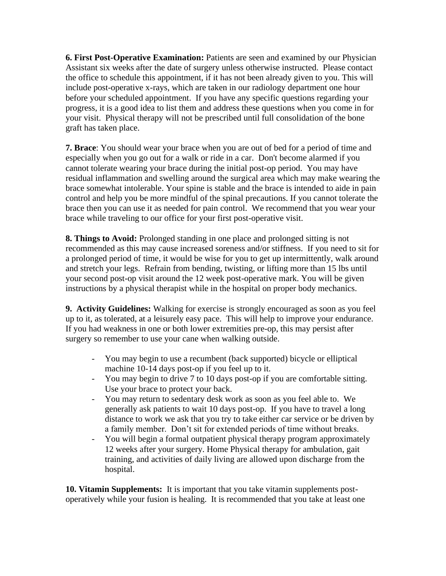**6. First Post-Operative Examination:** Patients are seen and examined by our Physician Assistant six weeks after the date of surgery unless otherwise instructed. Please contact the office to schedule this appointment, if it has not been already given to you. This will include post-operative x-rays, which are taken in our radiology department one hour before your scheduled appointment. If you have any specific questions regarding your progress, it is a good idea to list them and address these questions when you come in for your visit. Physical therapy will not be prescribed until full consolidation of the bone graft has taken place.

**7. Brace**: You should wear your brace when you are out of bed for a period of time and especially when you go out for a walk or ride in a car. Don't become alarmed if you cannot tolerate wearing your brace during the initial post-op period. You may have residual inflammation and swelling around the surgical area which may make wearing the brace somewhat intolerable. Your spine is stable and the brace is intended to aide in pain control and help you be more mindful of the spinal precautions. If you cannot tolerate the brace then you can use it as needed for pain control. We recommend that you wear your brace while traveling to our office for your first post-operative visit.

**8. Things to Avoid:** Prolonged standing in one place and prolonged sitting is not recommended as this may cause increased soreness and/or stiffness. If you need to sit for a prolonged period of time, it would be wise for you to get up intermittently, walk around and stretch your legs. Refrain from bending, twisting, or lifting more than 15 lbs until your second post-op visit around the 12 week post-operative mark. You will be given instructions by a physical therapist while in the hospital on proper body mechanics.

**9. Activity Guidelines:** Walking for exercise is strongly encouraged as soon as you feel up to it, as tolerated, at a leisurely easy pace. This will help to improve your endurance. If you had weakness in one or both lower extremities pre-op, this may persist after surgery so remember to use your cane when walking outside.

- You may begin to use a recumbent (back supported) bicycle or elliptical machine 10-14 days post-op if you feel up to it.
- You may begin to drive 7 to 10 days post-op if you are comfortable sitting. Use your brace to protect your back.
- You may return to sedentary desk work as soon as you feel able to. We generally ask patients to wait 10 days post-op. If you have to travel a long distance to work we ask that you try to take either car service or be driven by a family member. Don't sit for extended periods of time without breaks.
- You will begin a formal outpatient physical therapy program approximately 12 weeks after your surgery. Home Physical therapy for ambulation, gait training, and activities of daily living are allowed upon discharge from the hospital.

**10. Vitamin Supplements:** It is important that you take vitamin supplements postoperatively while your fusion is healing. It is recommended that you take at least one